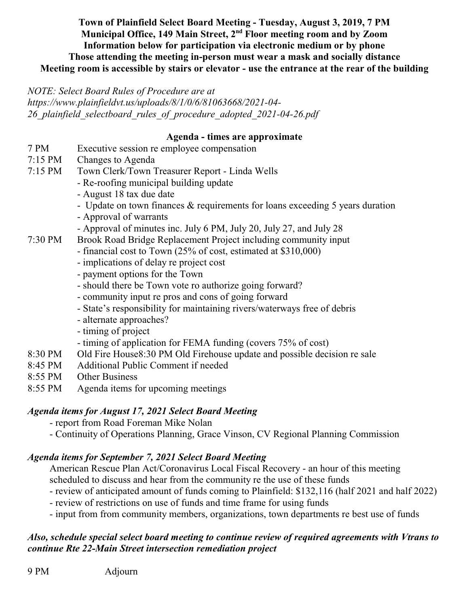**Town of Plainfield Select Board Meeting - Tuesday, August 3, 2019, 7 PM Municipal Office, 149 Main Street, 2nd Floor meeting room and by Zoom Information below for participation via electronic medium or by phone Those attending the meeting in-person must wear a mask and socially distance Meeting room is accessible by stairs or elevator - use the entrance at the rear of the building**

*NOTE: Select Board Rules of Procedure are at*

*https://www.plainfieldvt.us/uploads/8/1/0/6/81063668/2021-04- 26\_plainfield\_selectboard\_rules\_of\_procedure\_adopted\_2021-04-26.pdf*

#### **Agenda - times are approximate**

- 7 PM Executive session re employee compensation
- 7:15 PM Changes to Agenda
- 7:15 PM Town Clerk/Town Treasurer Report Linda Wells
	- Re-roofing municipal building update
	- August 18 tax due date
	- Update on town finances & requirements for loans exceeding 5 years duration
	- Approval of warrants
	- Approval of minutes inc. July 6 PM, July 20, July 27, and July 28
- 7:30 PM Brook Road Bridge Replacement Project including community input
	- financial cost to Town (25% of cost, estimated at \$310,000)
	- implications of delay re project cost
	- payment options for the Town
	- should there be Town vote ro authorize going forward?
	- community input re pros and cons of going forward
	- State's responsibility for maintaining rivers/waterways free of debris
	- alternate approaches?
	- timing of project
	- timing of application for FEMA funding (covers 75% of cost)
- 8:30 PM Old Fire House8:30 PM Old Firehouse update and possible decision re sale
- 8:45 PM Additional Public Comment if needed
- 8:55 PM Other Business
- 8:55 PM Agenda items for upcoming meetings

## *Agenda items for August 17, 2021 Select Board Meeting*

- report from Road Foreman Mike Nolan
- Continuity of Operations Planning, Grace Vinson, CV Regional Planning Commission

## *Agenda items for September 7, 2021 Select Board Meeting*

American Rescue Plan Act/Coronavirus Local Fiscal Recovery - an hour of this meeting scheduled to discuss and hear from the community re the use of these funds

- review of anticipated amount of funds coming to Plainfield: \$132,116 (half 2021 and half 2022)
- review of restrictions on use of funds and time frame for using funds
- input from from community members, organizations, town departments re best use of funds

# *Also, schedule special select board meeting to continue review of required agreements with Vtrans to continue Rte 22-Main Street intersection remediation project*

9 PM Adjourn